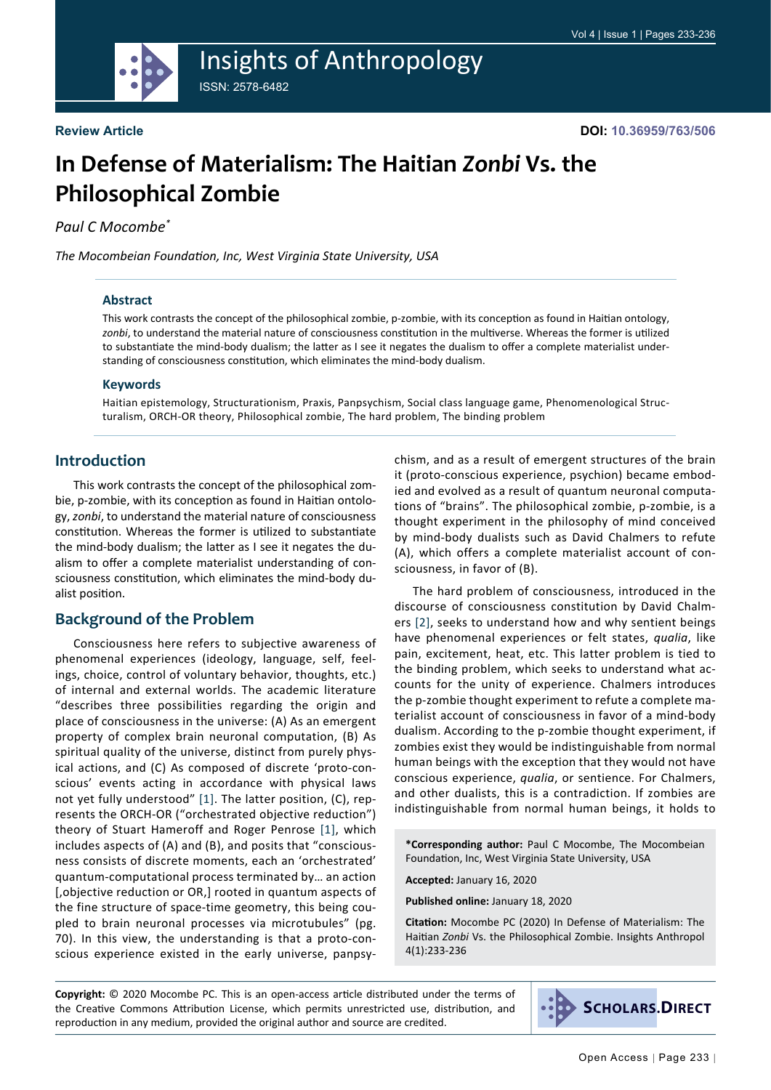

## Insights of Anthropology ISSN: 2578-6482

**Review Article**

# **In Defense of Materialism: The Haitian** *Zonbi* **Vs. the Philosophical Zombie**

*Paul C Mocombe\**

*The Mocombeian Foundation, Inc, West Virginia State University, USA*

#### **Abstract**

This work contrasts the concept of the philosophical zombie, p-zombie, with its conception as found in Haitian ontology, *zonbi*, to understand the material nature of consciousness constitution in the multiverse. Whereas the former is utilized to substantiate the mind-body dualism; the latter as I see it negates the dualism to offer a complete materialist understanding of consciousness constitution, which eliminates the mind-body dualism.

#### **Keywords**

Haitian epistemology, Structurationism, Praxis, Panpsychism, Social class language game, Phenomenological Structuralism, ORCH-OR theory, Philosophical zombie, The hard problem, The binding problem

#### **Introduction**

This work contrasts the concept of the philosophical zombie, p-zombie, with its conception as found in Haitian ontology, *zonbi*, to understand the material nature of consciousness constitution. Whereas the former is utilized to substantiate the mind-body dualism; the latter as I see it negates the dualism to offer a complete materialist understanding of consciousness constitution, which eliminates the mind-body dualist position.

### **Background of the Problem**

Consciousness here refers to subjective awareness of phenomenal experiences (ideology, language, self, feelings, choice, control of voluntary behavior, thoughts, etc.) of internal and external worlds. The academic literature "describes three possibilities regarding the origin and place of consciousness in the universe: (A) As an emergent property of complex brain neuronal computation, (B) As spiritual quality of the universe, distinct from purely physical actions, and (C) As composed of discrete 'proto-conscious' events acting in accordance with physical laws not yet fully understood" [[1](#page-3-0)]. The latter position, (C), represents the ORCH-OR ("orchestrated objective reduction") theory of Stuart Hameroff and Roger Penrose [[1\]](#page-3-0), which includes aspects of (A) and (B), and posits that "consciousness consists of discrete moments, each an 'orchestrated' quantum-computational process terminated by… an action [,objective reduction or OR,] rooted in quantum aspects of the fine structure of space-time geometry, this being coupled to brain neuronal processes via microtubules" (pg. 70). In this view, the understanding is that a proto-conscious experience existed in the early universe, panpsychism, and as a result of emergent structures of the brain it (proto-conscious experience, psychion) became embodied and evolved as a result of quantum neuronal computations of "brains". The philosophical zombie, p-zombie, is a thought experiment in the philosophy of mind conceived by mind-body dualists such as David Chalmers to refute (A), which offers a complete materialist account of consciousness, in favor of (B).

The hard problem of consciousness, introduced in the discourse of consciousness constitution by David Chalmers [[2](#page-3-1)], seeks to understand how and why sentient beings have phenomenal experiences or felt states, *qualia*, like pain, excitement, heat, etc. This latter problem is tied to the binding problem, which seeks to understand what accounts for the unity of experience. Chalmers introduces the p-zombie thought experiment to refute a complete materialist account of consciousness in favor of a mind-body dualism. According to the p-zombie thought experiment, if zombies exist they would be indistinguishable from normal human beings with the exception that they would not have conscious experience, *qualia*, or sentience. For Chalmers, and other dualists, this is a contradiction. If zombies are indistinguishable from normal human beings, it holds to

**\*Corresponding author:** Paul C Mocombe, The Mocombeian Foundation, Inc, West Virginia State University, USA

**Accepted:** January 16, 2020

**Published online:** January 18, 2020

**Citation:** Mocombe PC (2020) In Defense of Materialism: The Haitian *Zonbi* Vs. the Philosophical Zombie. Insights Anthropol 4(1):233-236

**Copyright:** © 2020 Mocombe PC. This is an open-access article distributed under the terms of the Creative Commons Attribution License, which permits unrestricted use, distribution, and reproduction in any medium, provided the original author and source are credited.

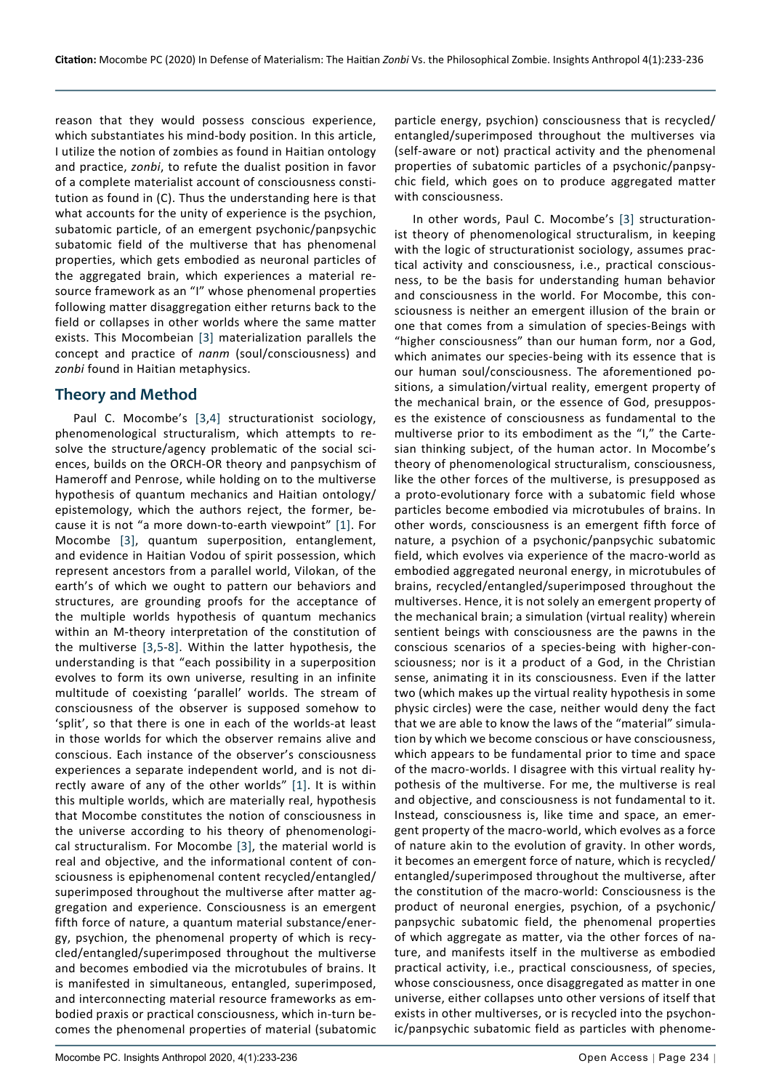reason that they would possess conscious experience, which substantiates his mind-body position. In this article, I utilize the notion of zombies as found in Haitian ontology and practice, *zonbi*, to refute the dualist position in favor of a complete materialist account of consciousness constitution as found in (C). Thus the understanding here is that what accounts for the unity of experience is the psychion, subatomic particle, of an emergent psychonic/panpsychic subatomic field of the multiverse that has phenomenal properties, which gets embodied as neuronal particles of the aggregated brain, which experiences a material resource framework as an "I" whose phenomenal properties following matter disaggregation either returns back to the field or collapses in other worlds where the same matter exists. This Mocombeian [[3](#page-3-2)] materialization parallels the concept and practice of *nanm* (soul/consciousness) and *zonbi* found in Haitian metaphysics.

## **Theory and Method**

Paul C. Mocombe's [[3](#page-3-2),[4](#page-3-3)] structurationist sociology, phenomenological structuralism, which attempts to resolve the structure/agency problematic of the social sciences, builds on the ORCH-OR theory and panpsychism of Hameroff and Penrose, while holding on to the multiverse hypothesis of quantum mechanics and Haitian ontology/ epistemology, which the authors reject, the former, because it is not "a more down-to-earth viewpoint" [\[1\]](#page-3-0). For Mocombe [[3](#page-3-2)], quantum superposition, entanglement, and evidence in Haitian Vodou of spirit possession, which represent ancestors from a parallel world, Vilokan, of the earth's of which we ought to pattern our behaviors and structures, are grounding proofs for the acceptance of the multiple worlds hypothesis of quantum mechanics within an M-theory interpretation of the constitution of the multiverse [\[3,](#page-3-2)[5-](#page-3-4)[8](#page-3-5)]. Within the latter hypothesis, the understanding is that "each possibility in a superposition evolves to form its own universe, resulting in an infinite multitude of coexisting 'parallel' worlds. The stream of consciousness of the observer is supposed somehow to 'split', so that there is one in each of the worlds-at least in those worlds for which the observer remains alive and conscious. Each instance of the observer's consciousness experiences a separate independent world, and is not directly aware of any of the other worlds" [[1](#page-3-0)]. It is within this multiple worlds, which are materially real, hypothesis that Mocombe constitutes the notion of consciousness in the universe according to his theory of phenomenological structuralism. For Mocombe [[3](#page-3-2)], the material world is real and objective, and the informational content of consciousness is epiphenomenal content recycled/entangled/ superimposed throughout the multiverse after matter aggregation and experience. Consciousness is an emergent fifth force of nature, a quantum material substance/energy, psychion, the phenomenal property of which is recycled/entangled/superimposed throughout the multiverse and becomes embodied via the microtubules of brains. It is manifested in simultaneous, entangled, superimposed, and interconnecting material resource frameworks as embodied praxis or practical consciousness, which in-turn becomes the phenomenal properties of material (subatomic

particle energy, psychion) consciousness that is recycled/ entangled/superimposed throughout the multiverses via (self-aware or not) practical activity and the phenomenal properties of subatomic particles of a psychonic/panpsychic field, which goes on to produce aggregated matter with consciousness.

In other words, Paul C. Mocombe's [\[3\]](#page-3-2) structurationist theory of phenomenological structuralism, in keeping with the logic of structurationist sociology, assumes practical activity and consciousness, i.e., practical consciousness, to be the basis for understanding human behavior and consciousness in the world. For Mocombe, this consciousness is neither an emergent illusion of the brain or one that comes from a simulation of species-Beings with "higher consciousness" than our human form, nor a God, which animates our species-being with its essence that is our human soul/consciousness. The aforementioned positions, a simulation/virtual reality, emergent property of the mechanical brain, or the essence of God, presupposes the existence of consciousness as fundamental to the multiverse prior to its embodiment as the "I," the Cartesian thinking subject, of the human actor. In Mocombe's theory of phenomenological structuralism, consciousness, like the other forces of the multiverse, is presupposed as a proto-evolutionary force with a subatomic field whose particles become embodied via microtubules of brains. In other words, consciousness is an emergent fifth force of nature, a psychion of a psychonic/panpsychic subatomic field, which evolves via experience of the macro-world as embodied aggregated neuronal energy, in microtubules of brains, recycled/entangled/superimposed throughout the multiverses. Hence, it is not solely an emergent property of the mechanical brain; a simulation (virtual reality) wherein sentient beings with consciousness are the pawns in the conscious scenarios of a species-being with higher-consciousness; nor is it a product of a God, in the Christian sense, animating it in its consciousness. Even if the latter two (which makes up the virtual reality hypothesis in some physic circles) were the case, neither would deny the fact that we are able to know the laws of the "material" simulation by which we become conscious or have consciousness, which appears to be fundamental prior to time and space of the macro-worlds. I disagree with this virtual reality hypothesis of the multiverse. For me, the multiverse is real and objective, and consciousness is not fundamental to it. Instead, consciousness is, like time and space, an emergent property of the macro-world, which evolves as a force of nature akin to the evolution of gravity. In other words, it becomes an emergent force of nature, which is recycled/ entangled/superimposed throughout the multiverse, after the constitution of the macro-world: Consciousness is the product of neuronal energies, psychion, of a psychonic/ panpsychic subatomic field, the phenomenal properties of which aggregate as matter, via the other forces of nature, and manifests itself in the multiverse as embodied practical activity, i.e., practical consciousness, of species, whose consciousness, once disaggregated as matter in one universe, either collapses unto other versions of itself that exists in other multiverses, or is recycled into the psychonic/panpsychic subatomic field as particles with phenome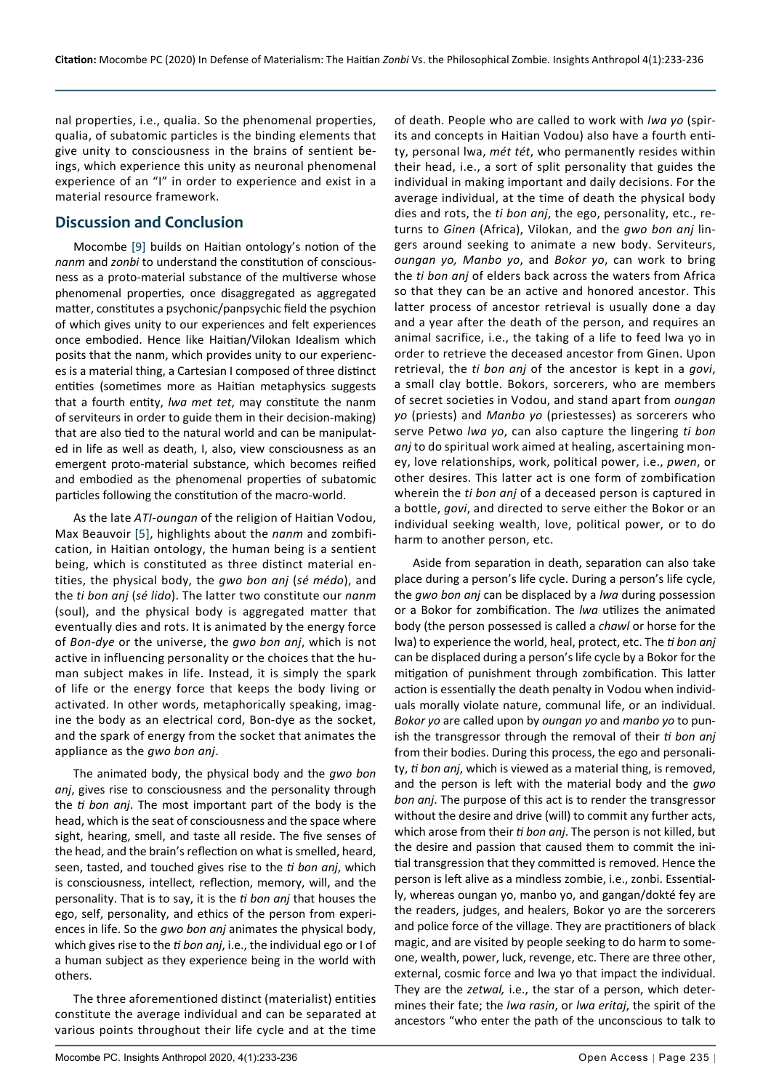nal properties, i.e., qualia. So the phenomenal properties, qualia, of subatomic particles is the binding elements that give unity to consciousness in the brains of sentient beings, which experience this unity as neuronal phenomenal experience of an "I" in order to experience and exist in a material resource framework.

## **Discussion and Conclusion**

Mocombe [[9\]](#page-3-6) builds on Haitian ontology's notion of the *nanm* and *zonbi* to understand the constitution of consciousness as a proto-material substance of the multiverse whose phenomenal properties, once disaggregated as aggregated matter, constitutes a psychonic/panpsychic field the psychion of which gives unity to our experiences and felt experiences once embodied. Hence like Haitian/Vilokan Idealism which posits that the nanm, which provides unity to our experiences is a material thing, a Cartesian I composed of three distinct entities (sometimes more as Haitian metaphysics suggests that a fourth entity, *lwa met tet*, may constitute the nanm of serviteurs in order to guide them in their decision-making) that are also tied to the natural world and can be manipulated in life as well as death, I, also, view consciousness as an emergent proto-material substance, which becomes reified and embodied as the phenomenal properties of subatomic particles following the constitution of the macro-world.

As the late *ATI-oungan* of the religion of Haitian Vodou, Max Beauvoir [\[5\]](#page-3-4), highlights about the *nanm* and zombification, in Haitian ontology, the human being is a sentient being, which is constituted as three distinct material entities, the physical body, the *gwo bon anj* (*sé médo*), and the *ti bon anj* (*sé lido*). The latter two constitute our *nanm* (soul), and the physical body is aggregated matter that eventually dies and rots. It is animated by the energy force of *Bon-dye* or the universe, the *gwo bon anj*, which is not active in influencing personality or the choices that the human subject makes in life. Instead, it is simply the spark of life or the energy force that keeps the body living or activated. In other words, metaphorically speaking, imagine the body as an electrical cord, Bon-dye as the socket, and the spark of energy from the socket that animates the appliance as the *gwo bon anj*.

The animated body, the physical body and the *gwo bon anj*, gives rise to consciousness and the personality through the *ti bon anj*. The most important part of the body is the head, which is the seat of consciousness and the space where sight, hearing, smell, and taste all reside. The five senses of the head, and the brain's reflection on what is smelled, heard, seen, tasted, and touched gives rise to the *ti bon anj*, which is consciousness, intellect, reflection, memory, will, and the personality. That is to say, it is the *ti bon anj* that houses the ego, self, personality, and ethics of the person from experiences in life. So the *gwo bon anj* animates the physical body, which gives rise to the *ti bon anj*, i.e., the individual ego or I of a human subject as they experience being in the world with others.

The three aforementioned distinct (materialist) entities constitute the average individual and can be separated at various points throughout their life cycle and at the time

of death. People who are called to work with *lwa yo* (spirits and concepts in Haitian Vodou) also have a fourth entity, personal lwa, *mét tét*, who permanently resides within their head, i.e., a sort of split personality that guides the individual in making important and daily decisions. For the average individual, at the time of death the physical body dies and rots, the *ti bon anj*, the ego, personality, etc., returns to *Ginen* (Africa), Vilokan, and the *gwo bon anj* lingers around seeking to animate a new body. Serviteurs, *oungan yo, Manbo yo*, and *Bokor yo*, can work to bring the *ti bon anj* of elders back across the waters from Africa so that they can be an active and honored ancestor. This latter process of ancestor retrieval is usually done a day and a year after the death of the person, and requires an animal sacrifice, i.e., the taking of a life to feed lwa yo in order to retrieve the deceased ancestor from Ginen. Upon retrieval, the *ti bon anj* of the ancestor is kept in a *govi*, a small clay bottle. Bokors, sorcerers, who are members of secret societies in Vodou, and stand apart from *oungan yo* (priests) and *Manbo yo* (priestesses) as sorcerers who serve Petwo *lwa yo*, can also capture the lingering *ti bon anj* to do spiritual work aimed at healing, ascertaining money, love relationships, work, political power, i.e., *pwen*, or other desires. This latter act is one form of zombification wherein the *ti bon anj* of a deceased person is captured in a bottle, *govi*, and directed to serve either the Bokor or an individual seeking wealth, love, political power, or to do harm to another person, etc.

Aside from separation in death, separation can also take place during a person's life cycle. During a person's life cycle, the *gwo bon anj* can be displaced by a *lwa* during possession or a Bokor for zombification. The *lwa* utilizes the animated body (the person possessed is called a *chawl* or horse for the lwa) to experience the world, heal, protect, etc. The *ti bon anj* can be displaced during a person's life cycle by a Bokor for the mitigation of punishment through zombification. This latter action is essentially the death penalty in Vodou when individuals morally violate nature, communal life, or an individual. *Bokor yo* are called upon by *oungan yo* and *manbo yo* to punish the transgressor through the removal of their *ti bon anj* from their bodies. During this process, the ego and personality, *ti bon anj*, which is viewed as a material thing, is removed, and the person is left with the material body and the *gwo bon anj*. The purpose of this act is to render the transgressor without the desire and drive (will) to commit any further acts, which arose from their *ti bon anj*. The person is not killed, but the desire and passion that caused them to commit the initial transgression that they committed is removed. Hence the person is left alive as a mindless zombie, i.e., zonbi. Essentially, whereas oungan yo, manbo yo, and gangan/dokté fey are the readers, judges, and healers, Bokor yo are the sorcerers and police force of the village. They are practitioners of black magic, and are visited by people seeking to do harm to someone, wealth, power, luck, revenge, etc. There are three other, external, cosmic force and lwa yo that impact the individual. They are the *zetwal,* i.e., the star of a person, which determines their fate; the *lwa rasin*, or *lwa eritaj*, the spirit of the ancestors "who enter the path of the unconscious to talk to